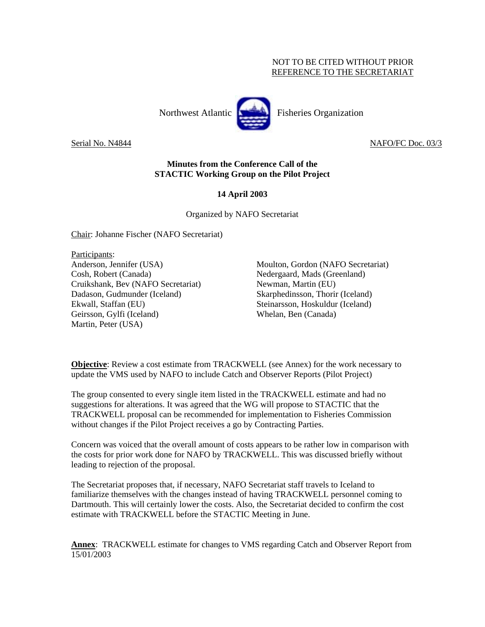# NOT TO BE CITED WITHOUT PRIOR REFERENCE TO THE SECRETARIAT



Serial No. N4844 NAFO/FC Doc. 03/3

# **Minutes from the Conference Call of the STACTIC Working Group on the Pilot Project**

# **14 April 2003**

Organized by NAFO Secretariat

Chair: Johanne Fischer (NAFO Secretariat)

Participants: Anderson, Jennifer (USA) Cosh, Robert (Canada) Cruikshank, Bev (NAFO Secretariat) Dadason, Gudmunder (Iceland) Ekwall, Staffan (EU) Geirsson, Gylfi (Iceland) Martin, Peter (USA)

Moulton, Gordon (NAFO Secretariat) Nedergaard, Mads (Greenland) Newman, Martin (EU) Skarphedinsson, Thorir (Iceland) Steinarsson, Hoskuldur (Iceland) Whelan, Ben (Canada)

**Objective**: Review a cost estimate from TRACKWELL (see Annex) for the work necessary to update the VMS used by NAFO to include Catch and Observer Reports (Pilot Project)

The group consented to every single item listed in the TRACKWELL estimate and had no suggestions for alterations. It was agreed that the WG will propose to STACTIC that the TRACKWELL proposal can be recommended for implementation to Fisheries Commission without changes if the Pilot Project receives a go by Contracting Parties.

Concern was voiced that the overall amount of costs appears to be rather low in comparison with the costs for prior work done for NAFO by TRACKWELL. This was discussed briefly without leading to rejection of the proposal.

The Secretariat proposes that, if necessary, NAFO Secretariat staff travels to Iceland to familiarize themselves with the changes instead of having TRACKWELL personnel coming to Dartmouth. This will certainly lower the costs. Also, the Secretariat decided to confirm the cost estimate with TRACKWELL before the STACTIC Meeting in June.

**Annex**: TRACKWELL estimate for changes to VMS regarding Catch and Observer Report from 15/01/2003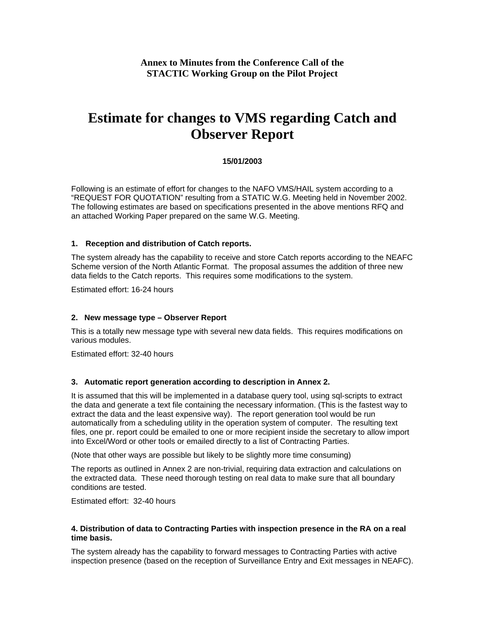# **Annex to Minutes from the Conference Call of the STACTIC Working Group on the Pilot Project**

# **Estimate for changes to VMS regarding Catch and Observer Report**

# **15/01/2003**

Following is an estimate of effort for changes to the NAFO VMS/HAIL system according to a "REQUEST FOR QUOTATION" resulting from a STATIC W.G. Meeting held in November 2002. The following estimates are based on specifications presented in the above mentions RFQ and an attached Working Paper prepared on the same W.G. Meeting.

#### **1. Reception and distribution of Catch reports.**

The system already has the capability to receive and store Catch reports according to the NEAFC Scheme version of the North Atlantic Format. The proposal assumes the addition of three new data fields to the Catch reports. This requires some modifications to the system.

Estimated effort: 16-24 hours

#### **2. New message type – Observer Report**

This is a totally new message type with several new data fields. This requires modifications on various modules.

Estimated effort: 32-40 hours

## **3. Automatic report generation according to description in Annex 2.**

It is assumed that this will be implemented in a database query tool, using sql-scripts to extract the data and generate a text file containing the necessary information. (This is the fastest way to extract the data and the least expensive way). The report generation tool would be run automatically from a scheduling utility in the operation system of computer. The resulting text files, one pr. report could be emailed to one or more recipient inside the secretary to allow import into Excel/Word or other tools or emailed directly to a list of Contracting Parties.

(Note that other ways are possible but likely to be slightly more time consuming)

The reports as outlined in Annex 2 are non-trivial, requiring data extraction and calculations on the extracted data. These need thorough testing on real data to make sure that all boundary conditions are tested.

Estimated effort: 32-40 hours

## **4. Distribution of data to Contracting Parties with inspection presence in the RA on a real time basis.**

The system already has the capability to forward messages to Contracting Parties with active inspection presence (based on the reception of Surveillance Entry and Exit messages in NEAFC).